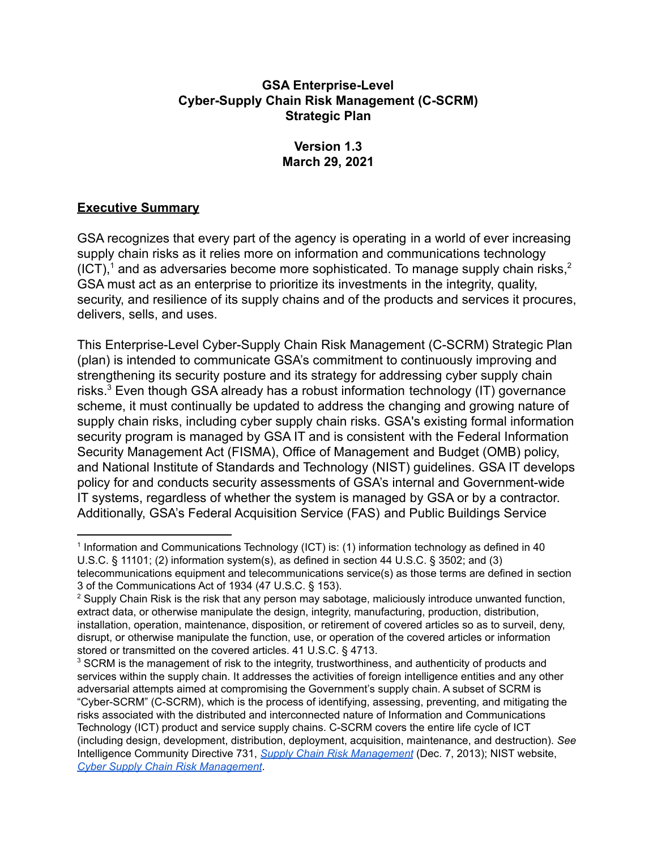#### **GSA Enterprise-Level Cyber-Supply Chain Risk Management (C-SCRM) Strategic Plan**

### **Version 1.3 March 29, 2021**

## **Executive Summary**

GSA recognizes that every part of the agency is operating in a world of ever increasing supply chain risks as it relies more on information and communications technology (ICT),<sup>1</sup> and as adversaries become more sophisticated. To manage supply chain risks,<sup>2</sup> GSA must act as an enterprise to prioritize its investments in the integrity, quality, security, and resilience of its supply chains and of the products and services it procures, delivers, sells, and uses.

This Enterprise-Level Cyber-Supply Chain Risk Management (C-SCRM) Strategic Plan (plan) is intended to communicate GSA's commitment to continuously improving and strengthening its security posture and its strategy for addressing cyber supply chain risks.<sup>3</sup> Even though GSA already has a robust information technology (IT) governance scheme, it must continually be updated to address the changing and growing nature of supply chain risks, including cyber supply chain risks. GSA's existing formal information security program is managed by GSA IT and is consistent with the Federal Information Security Management Act (FISMA), Office of Management and Budget (OMB) policy, and National Institute of Standards and Technology (NIST) guidelines. GSA IT develops policy for and conducts security assessments of GSA's internal and Government-wide IT systems, regardless of whether the system is managed by GSA or by a contractor. Additionally, GSA's Federal Acquisition Service (FAS) and Public Buildings Service

 <sup>1</sup> Information and Communications Technology (ICT) is: (1) information technology as defined in 40 U.S.C. § 11101; (2) information system(s), as defined in section 44 U.S.C. § 3502; and (3) telecommunications equipment and telecommunications service(s) as those terms are defined in section 3 of the Communications Act of 1934 (47 U.S.C. § 153).

<sup>&</sup>lt;sup>2</sup> Supply Chain Risk is the risk that any person may sabotage, maliciously introduce unwanted function, extract data, or otherwise manipulate the design, integrity, manufacturing, production, distribution, installation, operation, maintenance, disposition, or retirement of covered articles so as to surveil, deny, disrupt, or otherwise manipulate the function, use, or operation of the covered articles or information stored or transmitted on the covered articles. 41 U.S.C. § 4713.

 $3$  SCRM is the management of risk to the integrity, trustworthiness, and authenticity of products and services within the supply chain. It addresses the activities of foreign intelligence entities and any other adversarial attempts aimed at compromising the Government's supply chain. A subset of SCRM is "Cyber-SCRM" (C-SCRM), which is the process of identifying, assessing, preventing, and mitigating the risks associated with the distributed and interconnected nature of Information and Communications Technology (ICT) product and service supply chains. C-SCRM covers the entire life cycle of ICT (including design, development, distribution, deployment, acquisition, maintenance, and destruction). *See* Intelligence Community Directive 731, *Supply Chain Risk [Management](https://www.dni.gov/files/NCSC/documents/supplychain/20190327-ICD731-Supply-Chain-Risk-Manage20131207.pdf)* (Dec. 7, 2013); NIST website,  *Cyber Supply Chain Risk [Management](https://csrc.nist.gov/projects/cyber-supply-chain-risk-management)*.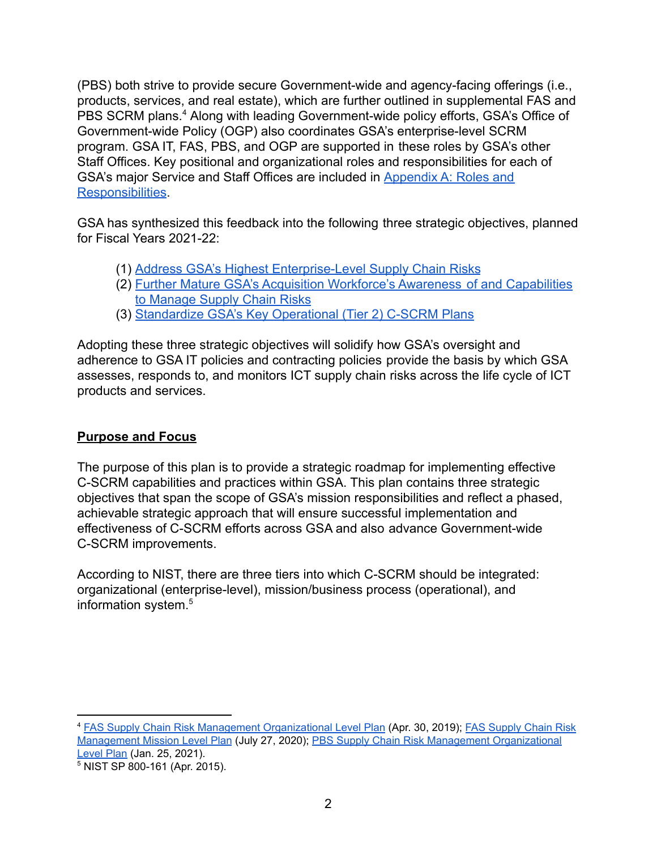(PBS) both strive to provide secure Government-wide and agency-facing offerings (i.e., products, services, and real estate), which are further outlined in supplemental FAS and PBS SCRM plans.<sup>4</sup> Along with leading Government-wide policy efforts, GSA's Office of Government-wide Policy (OGP) also coordinates GSA's enterprise-level SCRM program. GSA IT, FAS, PBS, and OGP are supported in these roles by GSA's other Staff Offices. Key positional and organizational roles and responsibilities for each of GSA's major Service and Staff Offices are included in [Appendix A: Roles and](#page-11-0) [Responsibilities](#page-11-0).

GSA has synthesized this feedback into the following three strategic objectives, planned for Fiscal Years 2021-22:

- (1) [Address GSA's Highest Enterprise-Level Supply](#page-4-0) Chain Risks
- (2) [Further Mature GSA's Acquisition Workforce's Awareness](#page-6-0) of and Capabilities [to Manage Supply Chain Risks](#page-6-0)
- (3) [Standardize GSA's Key Operational \(Tier 2\) C-SCRM](#page-8-0) Plans

Adopting these three strategic objectives will solidify how GSA's oversight and adherence to GSA IT policies and contracting policies provide the basis by which GSA assesses, responds to, and monitors ICT supply chain risks across the life cycle of ICT products and services.

## **Purpose and Focus**

The purpose of this plan is to provide a strategic roadmap for implementing effective C-SCRM capabilities and practices within GSA. This plan contains three strategic objectives that span the scope of GSA's mission responsibilities and reflect a phased, achievable strategic approach that will ensure successful implementation and effectiveness of C-SCRM efforts across GSA and also advance Government-wide C-SCRM improvements.

According to NIST, there are three tiers into which C-SCRM should be integrated: organizational (enterprise-level), mission/business process (operational), and information system. 5

<sup>&</sup>lt;sup>4</sup> FAS Supply Chain Risk Management [Organizational](https://insite.gsa.gov/cdnstatic/FAS%20Supply%20Chain%20Risk%20Management%20Organizational%20Level%20Plan_11%20Signed.pdf) Level Plan (Apr. 30, 2019); FAS [Supply](https://insite.gsa.gov/cdnstatic/Final_Mission_Level_Plan_V4_Signed.pdf) Chain Risk [Management](https://insite.gsa.gov/cdnstatic/Final_Mission_Level_Plan_V4_Signed.pdf) Mission Level Plan (July 27, 2020); PBS Supply Chain Risk Management [Organizational](https://insite.gsa.gov/cdnstatic/PBS%20SCRM%20Org%20Plan%20Signed.pdf) [Level](https://insite.gsa.gov/cdnstatic/PBS%20SCRM%20Org%20Plan%20Signed.pdf) Plan (Jan. 25, 2021).

 <sup>5</sup> NIST SP 800-161 (Apr. 2015).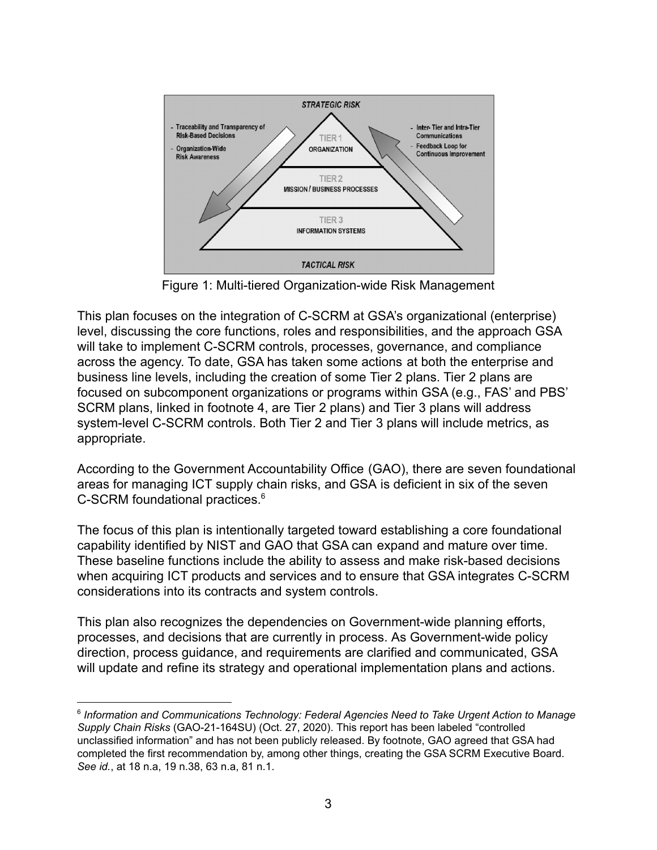

Figure 1: Multi-tiered Organization-wide Risk Management

This plan focuses on the integration of C-SCRM at GSA's organizational (enterprise) level, discussing the core functions, roles and responsibilities, and the approach GSA will take to implement C-SCRM controls, processes, governance, and compliance across the agency. To date, GSA has taken some actions at both the enterprise and business line levels, including the creation of some Tier 2 plans. Tier 2 plans are focused on subcomponent organizations or programs within GSA (e.g., FAS' and PBS' SCRM plans, linked in footnote 4, are Tier 2 plans) and Tier 3 plans will address system-level C-SCRM controls. Both Tier 2 and Tier 3 plans will include metrics, as appropriate.

According to the Government Accountability Office (GAO), there are seven foundational areas for managing ICT supply chain risks, and GSA is deficient in six of the seven C-SCRM foundational practices. 6

The focus of this plan is intentionally targeted toward establishing a core foundational capability identified by NIST and GAO that GSA can expand and mature over time. These baseline functions include the ability to assess and make risk-based decisions when acquiring ICT products and services and to ensure that GSA integrates C-SCRM considerations into its contracts and system controls.

This plan also recognizes the dependencies on Government-wide planning efforts, processes, and decisions that are currently in process. As Government-wide policy direction, process guidance, and requirements are clarified and communicated, GSA will update and refine its strategy and operational implementation plans and actions.

 <sup>6</sup> *Information and Communications Technology: Federal Agencies Need to Take Urgent Action to Manage Supply Chain Risks* (GAO-21-164SU) (Oct. 27, 2020). This report has been labeled "controlled unclassified information" and has not been publicly released. By footnote, GAO agreed that GSA had completed the first recommendation by, among other things, creating the GSA SCRM Executive Board. *See id.*, at 18 n.a, 19 n.38, 63 n.a, 81 n.1.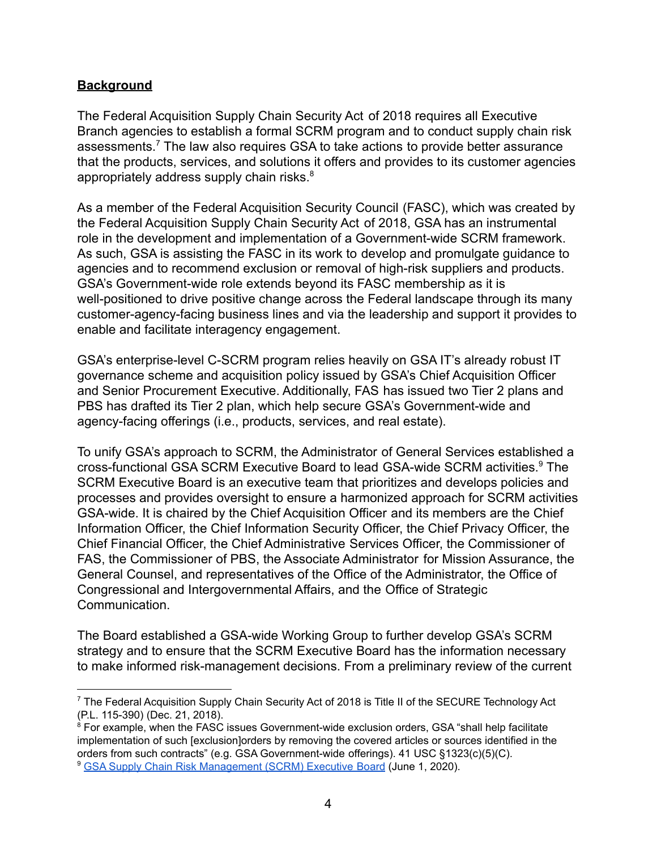### **Background**

The Federal Acquisition Supply Chain Security Act of 2018 requires all Executive Branch agencies to establish a formal SCRM program and to conduct supply chain risk assessments.<sup>7</sup> The law also requires GSA to take actions to provide better assurance that the products, services, and solutions it offers and provides to its customer agencies appropriately address supply chain risks.<sup>8</sup>

As a member of the Federal Acquisition Security Council (FASC), which was created by the Federal Acquisition Supply Chain Security Act of 2018, GSA has an instrumental role in the development and implementation of a Government-wide SCRM framework. As such, GSA is assisting the FASC in its work to develop and promulgate guidance to agencies and to recommend exclusion or removal of high-risk suppliers and products. GSA's Government-wide role extends beyond its FASC membership as it is well-positioned to drive positive change across the Federal landscape through its many customer-agency-facing business lines and via the leadership and support it provides to enable and facilitate interagency engagement.

GSA's enterprise-level C-SCRM program relies heavily on GSA IT's already robust IT governance scheme and acquisition policy issued by GSA's Chief Acquisition Officer and Senior Procurement Executive. Additionally, FAS has issued two Tier 2 plans and PBS has drafted its Tier 2 plan, which help secure GSA's Government-wide and agency-facing offerings (i.e., products, services, and real estate).

To unify GSA's approach to SCRM, the Administrator of General Services established a cross-functional GSA SCRM Executive Board to lead GSA-wide SCRM activities.<sup>9</sup> The SCRM Executive Board is an executive team that prioritizes and develops policies and processes and provides oversight to ensure a harmonized approach for SCRM activities GSA-wide. It is chaired by the Chief Acquisition Officer and its members are the Chief Information Officer, the Chief Information Security Officer, the Chief Privacy Officer, the Chief Financial Officer, the Chief Administrative Services Officer, the Commissioner of FAS, the Commissioner of PBS, the Associate Administrator for Mission Assurance, the General Counsel, and representatives of the Office of the Administrator, the Office of Congressional and Intergovernmental Affairs, and the Office of Strategic Communication.

The Board established a GSA-wide Working Group to further develop GSA's SCRM strategy and to ensure that the SCRM Executive Board has the information necessary to make informed risk-management decisions. From a preliminary review of the current

 $^7$  The Federal Acquisition Supply Chain Security Act of 2018 is Title II of the SECURE Technology Act (P.L. 115-390) (Dec. 21, 2018).

<sup>&</sup>lt;sup>9</sup> GSA Supply Chain Risk [Management](https://drive.google.com/file/d/1FjrE8_IWCbVfiROscC29PhJio8Yned80/) (SCRM) Executive Board (June 1, 2020).  $8$  For example, when the FASC issues Government-wide exclusion orders, GSA "shall help facilitate implementation of such [exclusion]orders by removing the covered articles or sources identified in the orders from such contracts" (e.g. GSA Government-wide offerings). 41 USC §1323(c)(5)(C).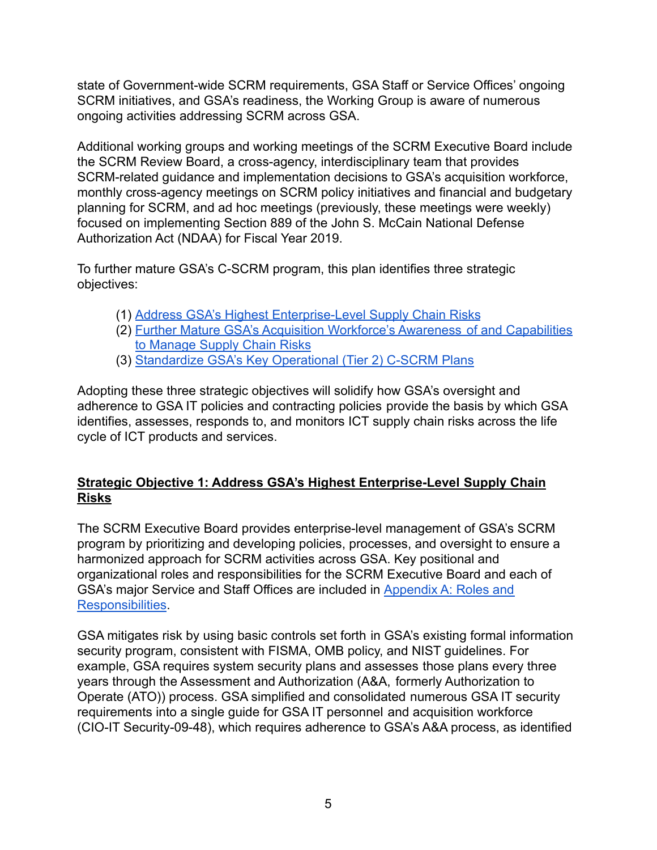state of Government-wide SCRM requirements, GSA Staff or Service Offices' ongoing SCRM initiatives, and GSA's readiness, the Working Group is aware of numerous ongoing activities addressing SCRM across GSA.

Additional working groups and working meetings of the SCRM Executive Board include the SCRM Review Board, a cross-agency, interdisciplinary team that provides SCRM-related guidance and implementation decisions to GSA's acquisition workforce, monthly cross-agency meetings on SCRM policy initiatives and financial and budgetary planning for SCRM, and ad hoc meetings (previously, these meetings were weekly) focused on implementing Section 889 of the John S. McCain National Defense Authorization Act (NDAA) for Fiscal Year 2019.

To further mature GSA's C-SCRM program, this plan identifies three strategic objectives:

- (1) [Address GSA's Highest Enterprise-Level Supply](#page-4-0) Chain Risks
- (2) [Further Mature GSA's Acquisition Workforce's Awareness](#page-6-0) of and Capabilities [to Manage Supply Chain Risks](#page-6-0)
- (3) [Standardize GSA's Key Operational \(Tier 2\) C-SCRM](#page-8-0) Plans

Adopting these three strategic objectives will solidify how GSA's oversight and adherence to GSA IT policies and contracting policies provide the basis by which GSA identifies, assesses, responds to, and monitors ICT supply chain risks across the life cycle of ICT products and services.

# <span id="page-4-0"></span>**Strategic Objective 1: Address GSA's Highest Enterprise-Level Supply Chain Risks**

The SCRM Executive Board provides enterprise-level management of GSA's SCRM program by prioritizing and developing policies, processes, and oversight to ensure a harmonized approach for SCRM activities across GSA. Key positional and organizational roles and responsibilities for the SCRM Executive Board and each of GSA's major Service and Staff Offices are included in [Appendix A: Roles and](#page-11-0) [Responsibilities](#page-11-0).

GSA mitigates risk by using basic controls set forth in GSA's existing formal information security program, consistent with FISMA, OMB policy, and NIST guidelines. For example, GSA requires system security plans and assesses those plans every three years through the Assessment and Authorization (A&A, formerly Authorization to Operate (ATO)) process. GSA simplified and consolidated numerous GSA IT security requirements into a single guide for GSA IT personnel and acquisition workforce (CIO-IT Security-09-48), which requires adherence to GSA's A&A process, as identified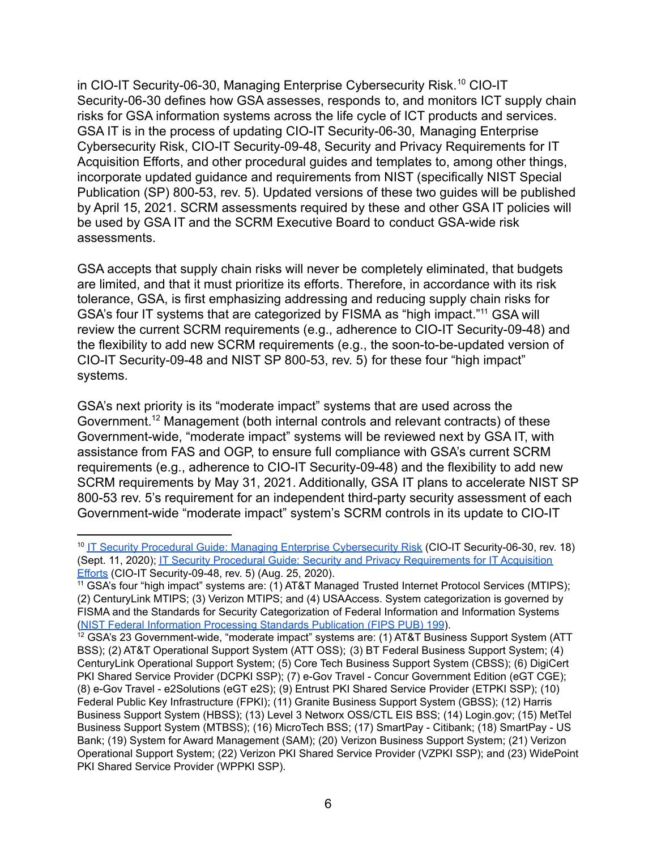in CIO-IT Security-06-30, Managing Enterprise Cybersecurity Risk.<sup>10</sup> CIO-IT Security-06-30 defines how GSA assesses, responds to, and monitors ICT supply chain risks for GSA information systems across the life cycle of ICT products and services. GSA IT is in the process of updating CIO-IT Security-06-30, Managing Enterprise Cybersecurity Risk, CIO-IT Security-09-48, Security and Privacy Requirements for IT Acquisition Efforts, and other procedural guides and templates to, among other things, incorporate updated guidance and requirements from NIST (specifically NIST Special Publication (SP) 800-53, rev. 5). Updated versions of these two guides will be published by April 15, 2021. SCRM assessments required by these and other GSA IT policies will be used by GSA IT and the SCRM Executive Board to conduct GSA-wide risk assessments.

GSA accepts that supply chain risks will never be completely eliminated, that budgets are limited, and that it must prioritize its efforts. Therefore, in accordance with its risk tolerance, GSA, is first emphasizing addressing and reducing supply chain risks for GSA's four IT systems that are categorized by FISMA as "high impact."11 GSA will review the current SCRM requirements (e.g., adherence to CIO-IT Security-09-48) and the flexibility to add new SCRM requirements (e.g., the soon-to-be-updated version of CIO-IT Security-09-48 and NIST SP 800-53, rev. 5) for these four "high impact" systems.

GSA's next priority is its "moderate impact" systems that are used across the [Government.12](https://Government.12) Management (both internal controls and relevant contracts) of these Government-wide, "moderate impact" systems will be reviewed next by GSA IT, with assistance from FAS and OGP, to ensure full compliance with GSA's current SCRM requirements (e.g., adherence to CIO-IT Security-09-48) and the flexibility to add new SCRM requirements by May 31, 2021. Additionally, GSA IT plans to accelerate NIST SP 800-53 rev. 5's requirement for an independent third-party security assessment of each Government-wide "moderate impact" system's SCRM controls in its update to CIO-IT

<sup>&</sup>lt;sup>10</sup> IT Security Procedural Guide: Managing Enterprise [Cybersecurity](https://www.gsa.gov/cdnstatic/Managing_Enterprise_Cybersecurity_Risk_%5BCIO_IT_Security_06-30_Rev_18%5D_09-11-2020docx.pdf) Risk (CIO-IT Security-06-30, rev. 18) (Sept. 11, 2020); IT Security Procedural Guide: Security and Privacy [Requirements](https://www.gsa.gov/cdnstatic/Security_and_Privacy_Requirements_for_IT_Acquisition_Efforts_%5BCIO_IT_Security_09-48_Rev_5%5D_08-25-2020.pdf) for IT Acquisition **[Efforts](https://www.gsa.gov/cdnstatic/Security_and_Privacy_Requirements_for_IT_Acquisition_Efforts_%5BCIO_IT_Security_09-48_Rev_5%5D_08-25-2020.pdf)** (CIO-IT Security-09-48, rev. 5) (Aug. 25, 2020).

 <sup>11</sup> GSA's four "high impact" systems are: (1) AT&T Managed Trusted Internet Protocol Services (MTIPS); (2) CenturyLink MTIPS; (3) Verizon MTIPS; and (4) USAAccess. System categorization is governed by FISMA and the Standards for Security Categorization of Federal Information and Information Systems (NIST Federal [Information](https://csrc.nist.gov/publications/detail/fips/199/final) Processing Standards Publication (FIPS PUB) 199).

 $12$  GSA's 23 Government-wide, "moderate impact" systems are: (1) AT&T Business Support System (ATT BSS); (2) AT&T Operational Support System (ATT OSS); (3) BT Federal Business Support System; (4) CenturyLink Operational Support System; (5) Core Tech Business Support System (CBSS); (6) DigiCert PKI Shared Service Provider (DCPKI SSP); (7) e-Gov Travel - Concur Government Edition (eGT CGE); (8) e-Gov Travel - e2Solutions (eGT e2S); (9) Entrust PKI Shared Service Provider (ETPKI SSP); (10) Federal Public Key Infrastructure (FPKI); (11) Granite Business Support System (GBSS); (12) Harris Business Support System (HBSS); (13) Level 3 Networx OSS/CTL EIS BSS; (14) [Login.gov](https://Login.gov); (15) MetTel Business Support System (MTBSS); (16) MicroTech BSS; (17) SmartPay - Citibank; (18) SmartPay - US Bank; (19) System for Award Management (SAM); (20) Verizon Business Support System; (21) Verizon Operational Support System; (22) Verizon PKI Shared Service Provider (VZPKI SSP); and (23) WidePoint PKI Shared Service Provider (WPPKI SSP).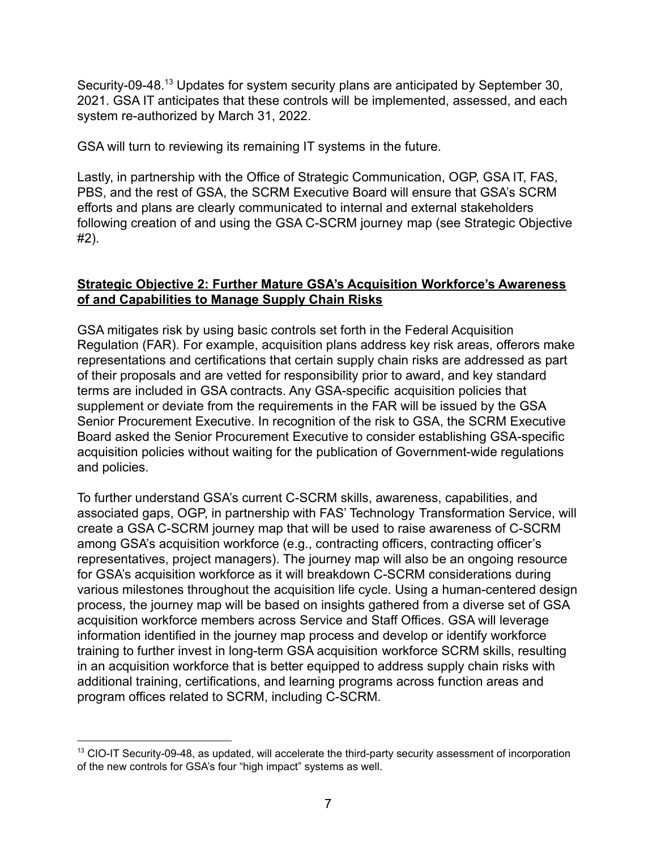[Security-09-48.13](https://Security-09-48.13) Updates for system security plans are anticipated by September 30, 2021. GSA IT anticipates that these controls will be implemented, assessed, and each system re-authorized by March 31, 2022.

GSA will turn to reviewing its remaining IT systems in the future.

Lastly, in partnership with the Office of Strategic Communication, OGP, GSA IT, FAS, PBS, and the rest of GSA, the SCRM Executive Board will ensure that GSA's SCRM efforts and plans are clearly communicated to internal and external stakeholders following creation of and using the GSA C-SCRM journey map (see Strategic Objective #2).

#### <span id="page-6-0"></span>**Strategic Objective 2: Further Mature GSA's Acquisition Workforce's Awareness of and Capabilities to Manage Supply Chain Risks**

GSA mitigates risk by using basic controls set forth in the Federal Acquisition Regulation (FAR). For example, acquisition plans address key risk areas, offerors make representations and certifications that certain supply chain risks are addressed as part of their proposals and are vetted for responsibility prior to award, and key standard terms are included in GSA contracts. Any GSA-specific acquisition policies that supplement or deviate from the requirements in the FAR will be issued by the GSA Senior Procurement Executive. In recognition of the risk to GSA, the SCRM Executive Board asked the Senior Procurement Executive to consider establishing GSA-specific acquisition policies without waiting for the publication of Government-wide regulations and policies.

To further understand GSA's current C-SCRM skills, awareness, capabilities, and associated gaps, OGP, in partnership with FAS' Technology Transformation Service, will create a GSA C-SCRM journey map that will be used to raise awareness of C-SCRM among GSA's acquisition workforce (e.g., contracting officers, contracting officer's representatives, project managers). The journey map will also be an ongoing resource for GSA's acquisition workforce as it will breakdown C-SCRM considerations during various milestones throughout the acquisition life cycle. Using a human-centered design process, the journey map will be based on insights gathered from a diverse set of GSA acquisition workforce members across Service and Staff Offices. GSA will leverage information identified in the journey map process and develop or identify workforce training to further invest in long-term GSA acquisition workforce SCRM skills, resulting in an acquisition workforce that is better equipped to address supply chain risks with additional training, certifications, and learning programs across function areas and program offices related to SCRM, including C-SCRM.

 $13$  CIO-IT Security-09-48, as updated, will accelerate the third-party security assessment of incorporation of the new controls for GSA's four "high impact" systems as well.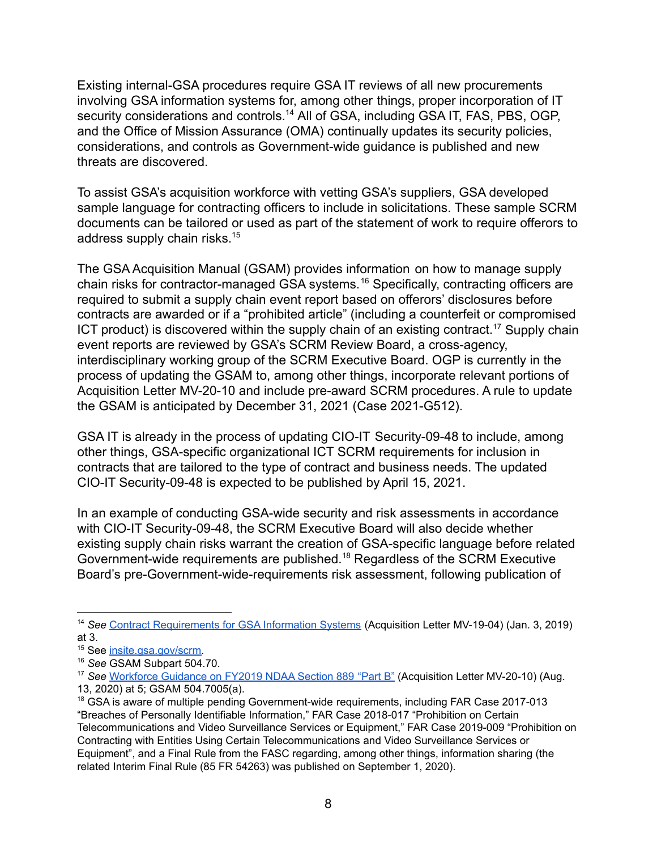Existing internal-GSA procedures require GSA IT reviews of all new procurements involving GSA information systems for, among other things, proper incorporation of IT security considerations and [controls.](https://controls.14)<sup>14</sup> All of GSA, including GSA IT, FAS, PBS, OGP, and the Office of Mission Assurance (OMA) continually updates its security policies, considerations, and controls as Government-wide guidance is published and new threats are discovered.

To assist GSA's acquisition workforce with vetting GSA's suppliers, GSA developed sample language for contracting officers to include in solicitations. These sample SCRM documents can be tailored or used as part of the statement of work to require offerors to address supply chain [risks.](https://risks.15)<sup>15</sup>

The GSA Acquisition Manual (GSAM) provides information on how to manage supply chain risks for contractor-managed GSA [systems.](https://systems.16) <sup>16</sup> Specifically, contracting officers are required to submit a supply chain event report based on offerors' disclosures before contracts are awarded or if a "prohibited article" (including a counterfeit or compromised ICT product) is discovered within the supply chain of an existing contract.<sup>17</sup> Supply chain event reports are reviewed by GSA's SCRM Review Board, a cross-agency, interdisciplinary working group of the SCRM Executive Board. OGP is currently in the process of updating the GSAM to, among other things, incorporate relevant portions of Acquisition Letter MV-20-10 and include pre-award SCRM procedures. A rule to update the GSAM is anticipated by December 31, 2021 (Case 2021-G512).

GSA IT is already in the process of updating CIO-IT Security-09-48 to include, among other things, GSA-specific organizational ICT SCRM requirements for inclusion in contracts that are tailored to the type of contract and business needs. The updated CIO-IT Security-09-48 is expected to be published by April 15, 2021.

In an example of conducting GSA-wide security and risk assessments in accordance with CIO-IT Security-09-48, the SCRM Executive Board will also decide whether existing supply chain risks warrant the creation of GSA-specific language before related Government-wide requirements are [published.18](https://published.18) Regardless of the SCRM Executive Board's pre-Government-wide-requirements risk assessment, following publication of

 <sup>14</sup> *See* Contract [Requirements](https://www.gsa.gov/cdnstatic/MV-19-04_0.pdf) for GSA Information Systems (Acquisition Letter MV-19-04) (Jan. 3, 2019) at 3.

<sup>&</sup>lt;sup>15</sup> See *[insite.gsa.gov/scrm.](http://insite.gsa.gov/scrm)* 

 <sup>16</sup> *See* GSAM Subpart 504.70.

 <sup>17</sup> *See* [Workforce](http://gsa.gov/node/136949) Guidance on FY2019 NDAA Section 889 "Part B" (Acquisition Letter MV-20-10) (Aug. 13, 2020) at 5; GSAM 504.7005(a).

 $18$  GSA is aware of multiple pending Government-wide requirements, including FAR Case 2017-013 "Breaches of Personally Identifiable Information," FAR Case 2018-017 "Prohibition on Certain Telecommunications and Video Surveillance Services or Equipment," FAR Case 2019-009 "Prohibition on Contracting with Entities Using Certain Telecommunications and Video Surveillance Services or Equipment", and a Final Rule from the FASC regarding, among other things, information sharing (the related Interim Final Rule (85 FR 54263) was published on September 1, 2020).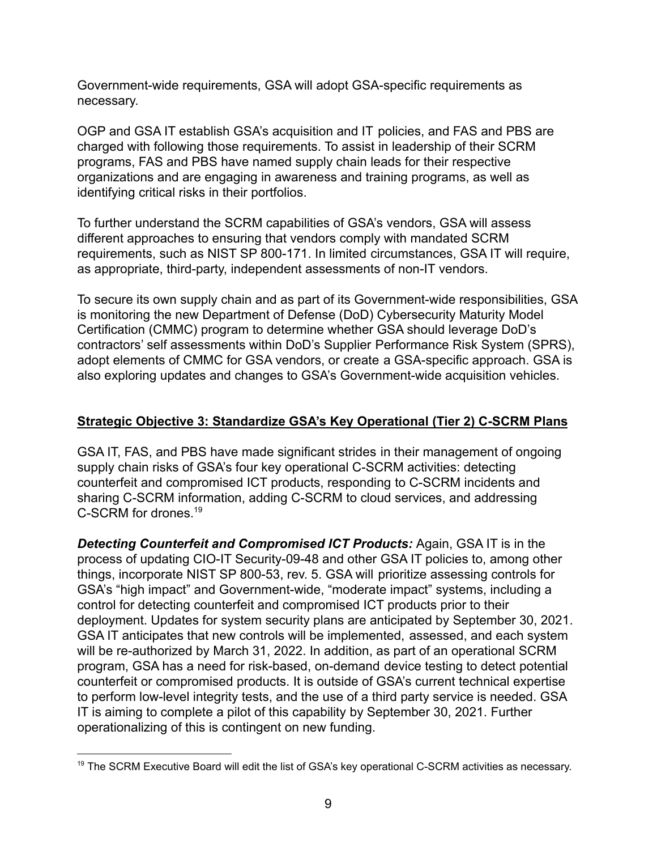Government-wide requirements, GSA will adopt GSA-specific requirements as necessary.

OGP and GSA IT establish GSA's acquisition and IT policies, and FAS and PBS are charged with following those requirements. To assist in leadership of their SCRM programs, FAS and PBS have named supply chain leads for their respective organizations and are engaging in awareness and training programs, as well as identifying critical risks in their portfolios.

To further understand the SCRM capabilities of GSA's vendors, GSA will assess different approaches to ensuring that vendors comply with mandated SCRM requirements, such as NIST SP 800-171. In limited circumstances, GSA IT will require, as appropriate, third-party, independent assessments of non-IT vendors.

To secure its own supply chain and as part of its Government-wide responsibilities, GSA is monitoring the new Department of Defense (DoD) Cybersecurity Maturity Model Certification (CMMC) program to determine whether GSA should leverage DoD's contractors' self assessments within DoD's Supplier Performance Risk System (SPRS), adopt elements of CMMC for GSA vendors, or create a GSA-specific approach. GSA is also exploring updates and changes to GSA's Government-wide acquisition vehicles.

# <span id="page-8-0"></span>**Strategic Objective 3: Standardize GSA's Key Operational (Tier 2) C-SCRM Plans**

GSA IT, FAS, and PBS have made significant strides in their management of ongoing supply chain risks of GSA's four key operational C-SCRM activities: detecting counterfeit and compromised ICT products, responding to C-SCRM incidents and sharing C-SCRM information, adding C-SCRM to cloud services, and addressing C-SCRM for [drones.](https://drones.19) 19

*Detecting Counterfeit and Compromised ICT Products:* Again, GSA IT is in the process of updating CIO-IT Security-09-48 and other GSA IT policies to, among other things, incorporate NIST SP 800-53, rev. 5. GSA will prioritize assessing controls for GSA's "high impact" and Government-wide, "moderate impact" systems, including a control for detecting counterfeit and compromised ICT products prior to their deployment. Updates for system security plans are anticipated by September 30, 2021. GSA IT anticipates that new controls will be implemented, assessed, and each system will be re-authorized by March 31, 2022. In addition, as part of an operational SCRM program, GSA has a need for risk-based, on-demand device testing to detect potential counterfeit or compromised products. It is outside of GSA's current technical expertise to perform low-level integrity tests, and the use of a third party service is needed. GSA IT is aiming to complete a pilot of this capability by September 30, 2021. Further operationalizing of this is contingent on new funding.

 $19$  The SCRM Executive Board will edit the list of GSA's key operational C-SCRM activities as necessary.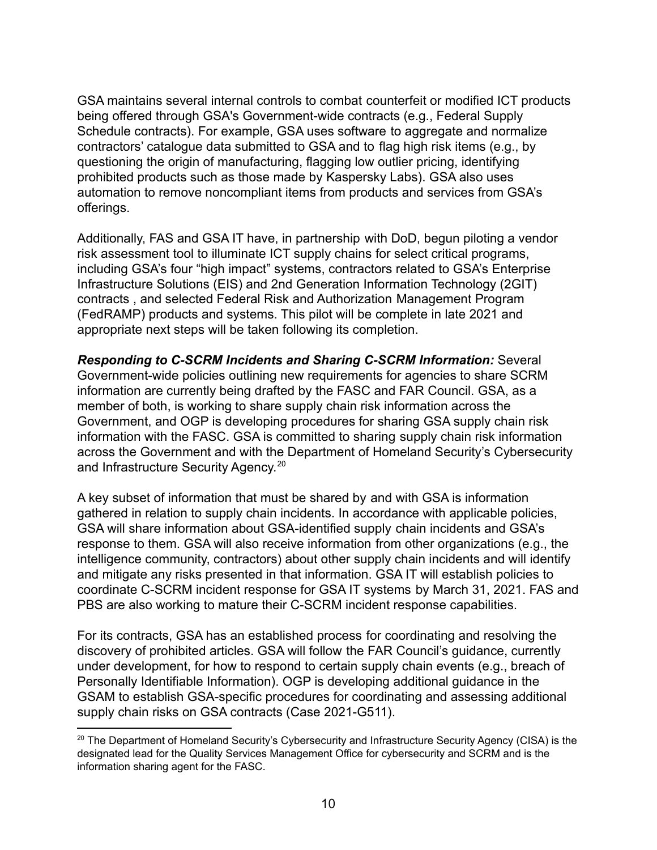GSA maintains several internal controls to combat counterfeit or modified ICT products being offered through GSA's Government-wide contracts (e.g., Federal Supply Schedule contracts). For example, GSA uses software to aggregate and normalize contractors' catalogue data submitted to GSA and to flag high risk items (e.g., by questioning the origin of manufacturing, flagging low outlier pricing, identifying prohibited products such as those made by Kaspersky Labs). GSA also uses automation to remove noncompliant items from products and services from GSA's offerings.

Additionally, FAS and GSA IT have, in partnership with DoD, begun piloting a vendor risk assessment tool to illuminate ICT supply chains for select critical programs, including GSA's four "high impact" systems, contractors related to GSA's Enterprise Infrastructure Solutions (EIS) and 2nd Generation Information Technology (2GIT) contracts , and selected Federal Risk and Authorization Management Program (FedRAMP) products and systems. This pilot will be complete in late 2021 and appropriate next steps will be taken following its completion.

*Responding to C-SCRM Incidents and Sharing C-SCRM Information:* Several Government-wide policies outlining new requirements for agencies to share SCRM information are currently being drafted by the FASC and FAR Council. GSA, as a member of both, is working to share supply chain risk information across the Government, and OGP is developing procedures for sharing GSA supply chain risk information with the FASC. GSA is committed to sharing supply chain risk information across the Government and with the Department of Homeland Security's Cybersecurity and Infrastructure Security Agency.<sup>20</sup>

A key subset of information that must be shared by and with GSA is information gathered in relation to supply chain incidents. In accordance with applicable policies, GSA will share information about GSA-identified supply chain incidents and GSA's response to them. GSA will also receive information from other organizations (e.g., the intelligence community, contractors) about other supply chain incidents and will identify and mitigate any risks presented in that information. GSA IT will establish policies to coordinate C-SCRM incident response for GSA IT systems by March 31, 2021. FAS and PBS are also working to mature their C-SCRM incident response capabilities.

For its contracts, GSA has an established process for coordinating and resolving the discovery of prohibited articles. GSA will follow the FAR Council's guidance, currently under development, for how to respond to certain supply chain events (e.g., breach of Personally Identifiable Information). OGP is developing additional guidance in the GSAM to establish GSA-specific procedures for coordinating and assessing additional supply chain risks on GSA contracts (Case 2021-G511).

 $^{20}$  The Department of Homeland Security's Cybersecurity and Infrastructure Security Agency (CISA) is the designated lead for the Quality Services Management Office for cybersecurity and SCRM and is the information sharing agent for the FASC.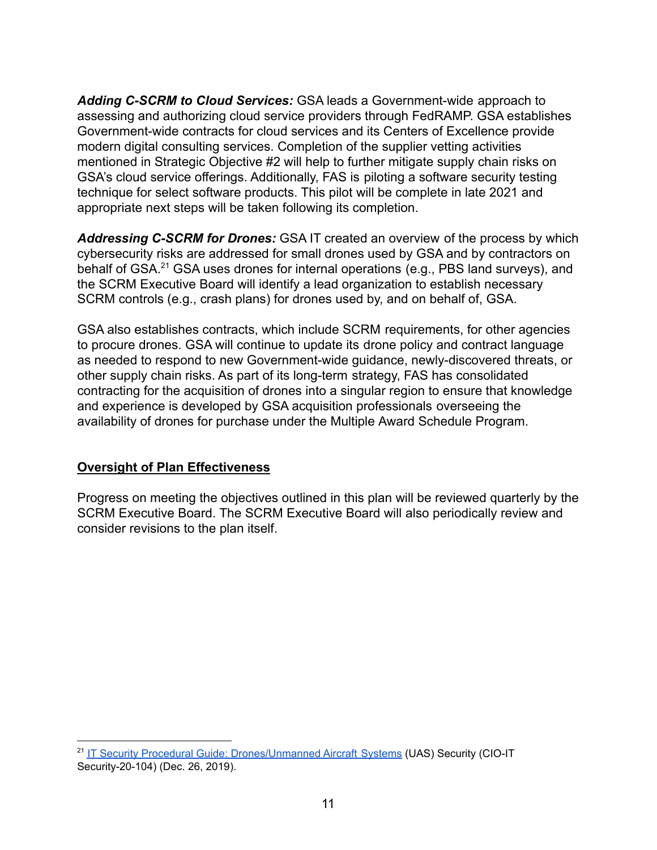*Adding C-SCRM to Cloud Services:* GSA leads a Government-wide approach to assessing and authorizing cloud service providers through FedRAMP. GSA establishes Government-wide contracts for cloud services and its Centers of Excellence provide modern digital consulting services. Completion of the supplier vetting activities mentioned in Strategic Objective #2 will help to further mitigate supply chain risks on GSA's cloud service offerings. Additionally, FAS is piloting a software security testing technique for select software products. This pilot will be complete in late 2021 and appropriate next steps will be taken following its completion.

*Addressing C-SCRM for Drones:* GSA IT created an overview of the process by which cybersecurity risks are addressed for small drones used by GSA and by contractors on behalf of GSA.<sup>21</sup> GSA uses drones for internal operations (e.g., PBS land surveys), and the SCRM Executive Board will identify a lead organization to establish necessary SCRM controls (e.g., crash plans) for drones used by, and on behalf of, GSA.

GSA also establishes contracts, which include SCRM requirements, for other agencies to procure drones. GSA will continue to update its drone policy and contract language as needed to respond to new Government-wide guidance, newly-discovered threats, or other supply chain risks. As part of its long-term strategy, FAS has consolidated contracting for the acquisition of drones into a singular region to ensure that knowledge and experience is developed by GSA acquisition professionals overseeing the availability of drones for purchase under the Multiple Award Schedule Program.

#### **Oversight of Plan Effectiveness**

Progress on meeting the objectives outlined in this plan will be reviewed quarterly by the SCRM Executive Board. The SCRM Executive Board will also periodically review and consider revisions to the plan itself.

<sup>&</sup>lt;sup>21</sup> IT Security Procedural Guide: [Drones/Unmanned](https://www.gsa.gov/cdnstatic/Drones_Unmanned_Aircraft_Systems_(UAS)_Security_%5BCIO_IT_Security_20-104_Initial_Release%5D_12-26-2019.pdf) Aircraft Systems (UAS) Security (CIO-IT Security-20-104) (Dec. 26, 2019).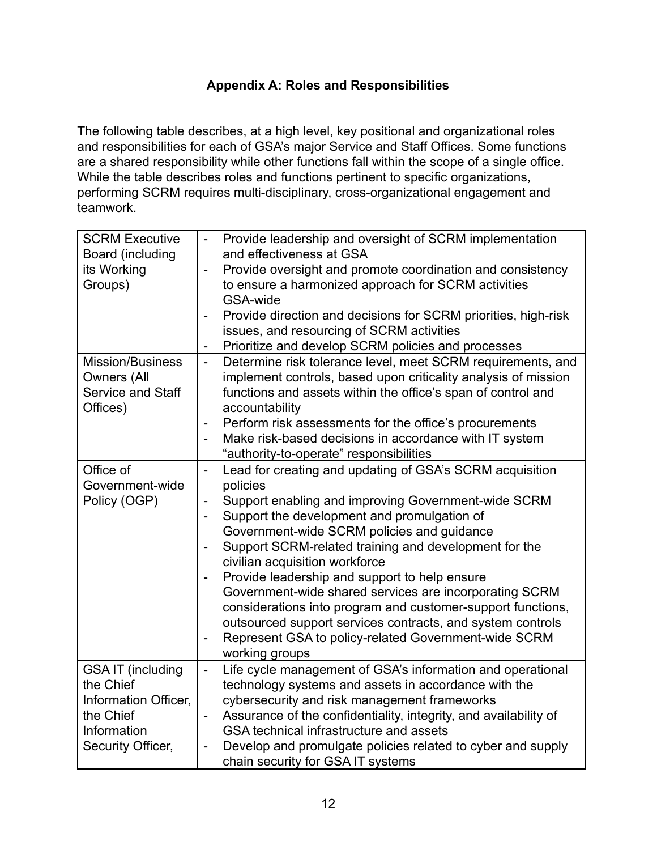# **Appendix A: Roles and Responsibilities**

<span id="page-11-0"></span>The following table describes, at a high level, key positional and organizational roles and responsibilities for each of GSA's major Service and Staff Offices. Some functions are a shared responsibility while other functions fall within the scope of a single office. While the table describes roles and functions pertinent to specific organizations, performing SCRM requires multi-disciplinary, cross-organizational engagement and teamwork.

| <b>SCRM Executive</b>    |                          | Provide leadership and oversight of SCRM implementation          |
|--------------------------|--------------------------|------------------------------------------------------------------|
| Board (including         |                          | and effectiveness at GSA                                         |
| its Working              |                          | Provide oversight and promote coordination and consistency       |
| Groups)                  |                          | to ensure a harmonized approach for SCRM activities              |
|                          |                          | GSA-wide                                                         |
|                          |                          | Provide direction and decisions for SCRM priorities, high-risk   |
|                          |                          | issues, and resourcing of SCRM activities                        |
|                          | $\overline{\phantom{a}}$ | Prioritize and develop SCRM policies and processes               |
| <b>Mission/Business</b>  | $\blacksquare$           | Determine risk tolerance level, meet SCRM requirements, and      |
| <b>Owners (All</b>       |                          | implement controls, based upon criticality analysis of mission   |
| Service and Staff        |                          | functions and assets within the office's span of control and     |
| Offices)                 |                          | accountability                                                   |
|                          | $\blacksquare$           | Perform risk assessments for the office's procurements           |
|                          |                          | Make risk-based decisions in accordance with IT system           |
|                          |                          | "authority-to-operate" responsibilities                          |
| Office of                |                          | Lead for creating and updating of GSA's SCRM acquisition         |
| Government-wide          |                          | policies                                                         |
| Policy (OGP)             |                          | Support enabling and improving Government-wide SCRM              |
|                          | $\overline{\phantom{a}}$ | Support the development and promulgation of                      |
|                          |                          | Government-wide SCRM policies and guidance                       |
|                          | $\overline{a}$           | Support SCRM-related training and development for the            |
|                          |                          | civilian acquisition workforce                                   |
|                          |                          | Provide leadership and support to help ensure                    |
|                          |                          | Government-wide shared services are incorporating SCRM           |
|                          |                          | considerations into program and customer-support functions,      |
|                          |                          | outsourced support services contracts, and system controls       |
|                          |                          | Represent GSA to policy-related Government-wide SCRM             |
|                          |                          | working groups                                                   |
| <b>GSA IT (including</b> | $\frac{1}{2}$            | Life cycle management of GSA's information and operational       |
| the Chief                |                          | technology systems and assets in accordance with the             |
| Information Officer,     |                          | cybersecurity and risk management frameworks                     |
| the Chief                | $\blacksquare$           | Assurance of the confidentiality, integrity, and availability of |
| Information              |                          | GSA technical infrastructure and assets                          |
| Security Officer,        |                          | Develop and promulgate policies related to cyber and supply      |
|                          |                          | chain security for GSA IT systems                                |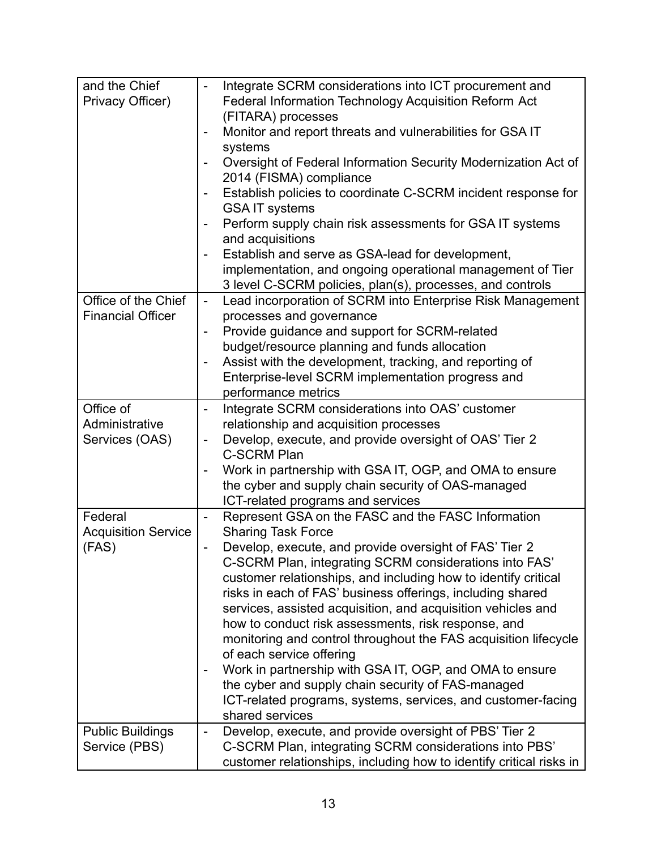| and the Chief              | Integrate SCRM considerations into ICT procurement and                       |
|----------------------------|------------------------------------------------------------------------------|
| Privacy Officer)           | Federal Information Technology Acquisition Reform Act                        |
|                            | (FITARA) processes                                                           |
|                            | Monitor and report threats and vulnerabilities for GSA IT                    |
|                            | systems                                                                      |
|                            | Oversight of Federal Information Security Modernization Act of               |
|                            | 2014 (FISMA) compliance                                                      |
|                            | Establish policies to coordinate C-SCRM incident response for                |
|                            | <b>GSA IT systems</b>                                                        |
|                            |                                                                              |
|                            | Perform supply chain risk assessments for GSA IT systems<br>and acquisitions |
|                            | Establish and serve as GSA-lead for development,                             |
|                            | implementation, and ongoing operational management of Tier                   |
|                            | 3 level C-SCRM policies, plan(s), processes, and controls                    |
| Office of the Chief        | $\blacksquare$                                                               |
|                            | Lead incorporation of SCRM into Enterprise Risk Management                   |
| <b>Financial Officer</b>   | processes and governance                                                     |
|                            | Provide guidance and support for SCRM-related                                |
|                            | budget/resource planning and funds allocation                                |
|                            | Assist with the development, tracking, and reporting of                      |
|                            | Enterprise-level SCRM implementation progress and                            |
|                            | performance metrics                                                          |
| Office of                  | Integrate SCRM considerations into OAS' customer                             |
| Administrative             | relationship and acquisition processes                                       |
| Services (OAS)             | Develop, execute, and provide oversight of OAS' Tier 2                       |
|                            | <b>C-SCRM Plan</b>                                                           |
|                            | Work in partnership with GSA IT, OGP, and OMA to ensure                      |
|                            | the cyber and supply chain security of OAS-managed                           |
|                            | ICT-related programs and services                                            |
| Federal                    | Represent GSA on the FASC and the FASC Information                           |
| <b>Acquisition Service</b> | <b>Sharing Task Force</b>                                                    |
| (FAS)                      | Develop, execute, and provide oversight of FAS' Tier 2                       |
|                            | C-SCRM Plan, integrating SCRM considerations into FAS'                       |
|                            | customer relationships, and including how to identify critical               |
|                            | risks in each of FAS' business offerings, including shared                   |
|                            | services, assisted acquisition, and acquisition vehicles and                 |
|                            | how to conduct risk assessments, risk response, and                          |
|                            |                                                                              |
|                            | monitoring and control throughout the FAS acquisition lifecycle              |
|                            | of each service offering                                                     |
|                            | Work in partnership with GSA IT, OGP, and OMA to ensure                      |
|                            | the cyber and supply chain security of FAS-managed                           |
|                            | ICT-related programs, systems, services, and customer-facing                 |
|                            | shared services                                                              |
| <b>Public Buildings</b>    | Develop, execute, and provide oversight of PBS' Tier 2                       |
| Service (PBS)              | C-SCRM Plan, integrating SCRM considerations into PBS'                       |
|                            | customer relationships, including how to identify critical risks in          |